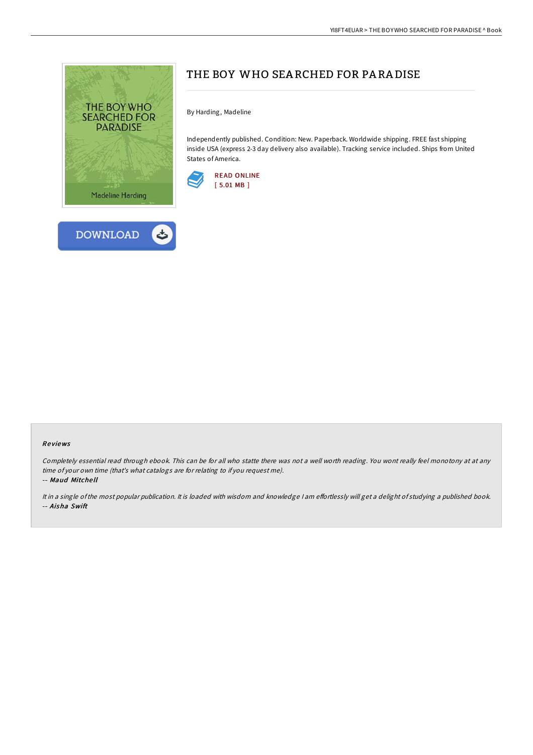



By Harding, Madeline

Independently published. Condition: New. Paperback. Worldwide shipping. FREE fast shipping inside USA (express 2-3 day delivery also available). Tracking service included. Ships from United States of America.



## Re views

Completely essential read through ebook. This can be for all who statte there was not <sup>a</sup> well worth reading. You wont really feel monotony at at any time of your own time (that's what catalogs are for relating to if you request me). -- Maud Mitche ll

It in a single of the most popular publication. It is loaded with wisdom and knowledge I am effortlessly will get a delight of studying a published book. -- Aisha Swift